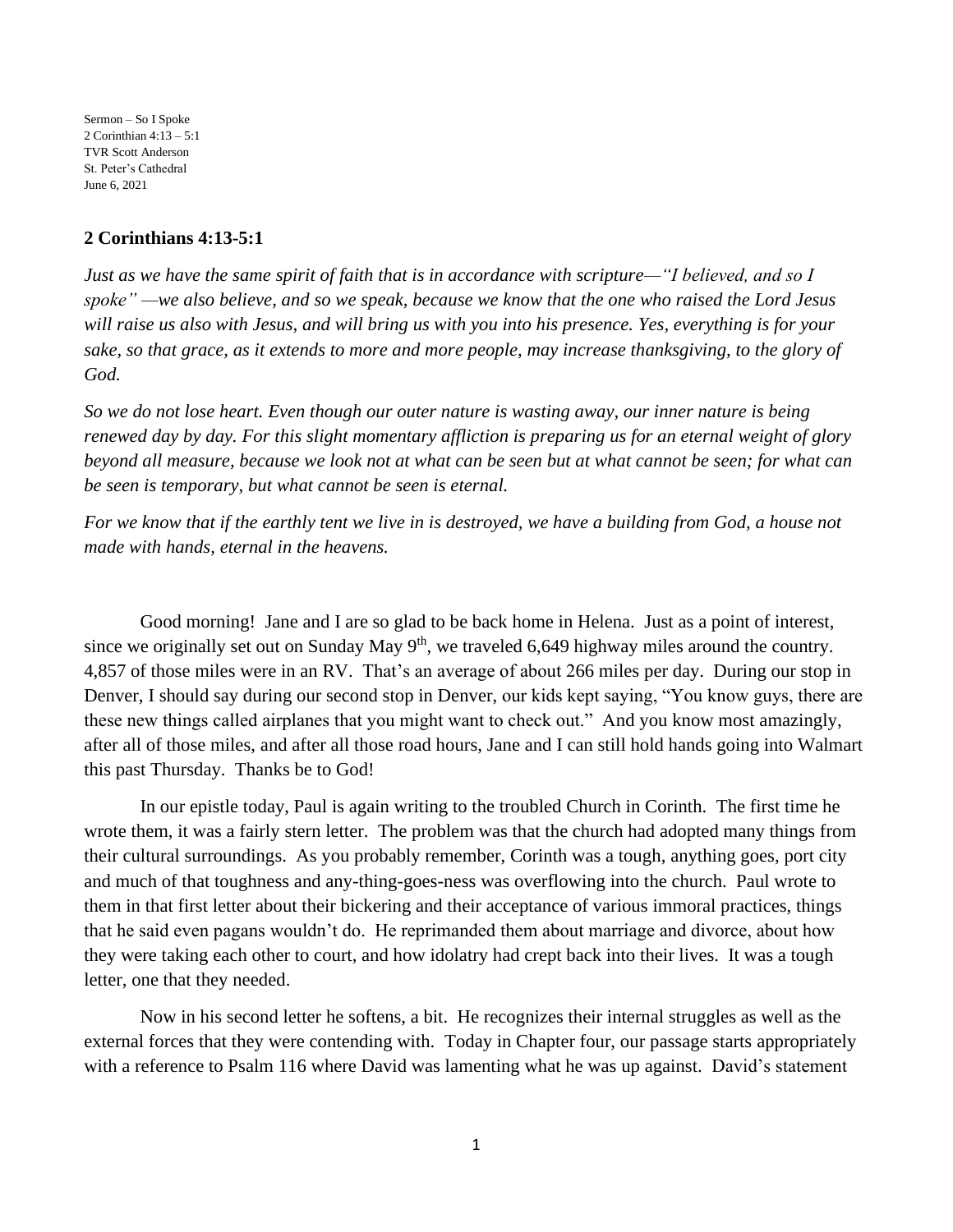Sermon – So I Spoke 2 Corinthian 4:13 – 5:1 TVR Scott Anderson St. Peter's Cathedral June 6, 2021

## **2 Corinthians 4:13-5:1**

*Just as we have the same spirit of faith that is in accordance with scripture—"I believed, and so I spoke" —we also believe, and so we speak, because we know that the one who raised the Lord Jesus will raise us also with Jesus, and will bring us with you into his presence. Yes, everything is for your sake, so that grace, as it extends to more and more people, may increase thanksgiving, to the glory of God.*

*So we do not lose heart. Even though our outer nature is wasting away, our inner nature is being renewed day by day. For this slight momentary affliction is preparing us for an eternal weight of glory beyond all measure, because we look not at what can be seen but at what cannot be seen; for what can be seen is temporary, but what cannot be seen is eternal.*

*For we know that if the earthly tent we live in is destroyed, we have a building from God, a house not made with hands, eternal in the heavens.*

Good morning! Jane and I are so glad to be back home in Helena. Just as a point of interest, since we originally set out on Sunday May  $9<sup>th</sup>$ , we traveled 6,649 highway miles around the country. 4,857 of those miles were in an RV. That's an average of about 266 miles per day. During our stop in Denver, I should say during our second stop in Denver, our kids kept saying, "You know guys, there are these new things called airplanes that you might want to check out." And you know most amazingly, after all of those miles, and after all those road hours, Jane and I can still hold hands going into Walmart this past Thursday. Thanks be to God!

In our epistle today, Paul is again writing to the troubled Church in Corinth. The first time he wrote them, it was a fairly stern letter. The problem was that the church had adopted many things from their cultural surroundings. As you probably remember, Corinth was a tough, anything goes, port city and much of that toughness and any-thing-goes-ness was overflowing into the church. Paul wrote to them in that first letter about their bickering and their acceptance of various immoral practices, things that he said even pagans wouldn't do. He reprimanded them about marriage and divorce, about how they were taking each other to court, and how idolatry had crept back into their lives. It was a tough letter, one that they needed.

Now in his second letter he softens, a bit. He recognizes their internal struggles as well as the external forces that they were contending with. Today in Chapter four, our passage starts appropriately with a reference to Psalm 116 where David was lamenting what he was up against. David's statement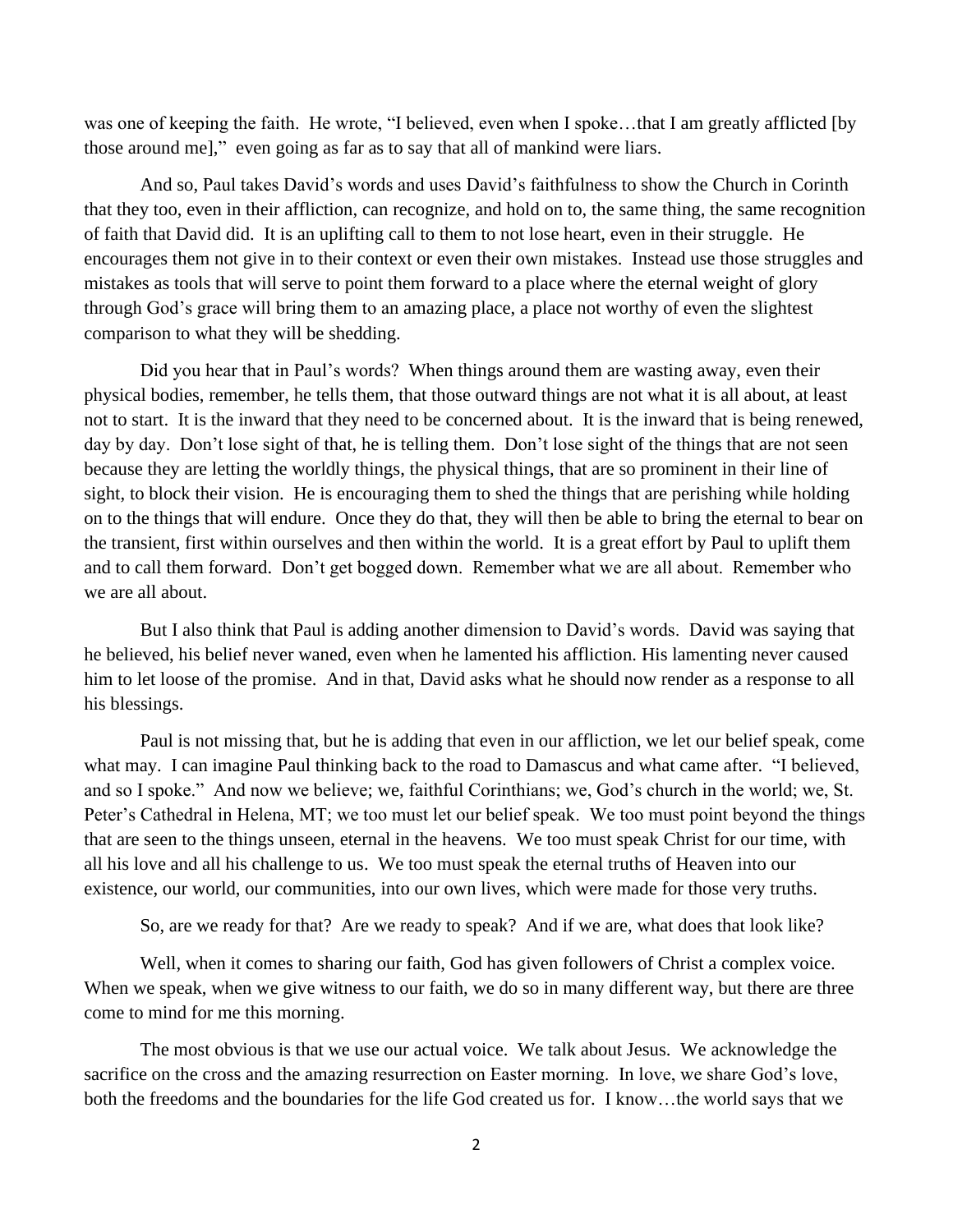was one of keeping the faith. He wrote, "I believed, even when I spoke…that I am greatly afflicted [by those around me]," even going as far as to say that all of mankind were liars.

And so, Paul takes David's words and uses David's faithfulness to show the Church in Corinth that they too, even in their affliction, can recognize, and hold on to, the same thing, the same recognition of faith that David did. It is an uplifting call to them to not lose heart, even in their struggle. He encourages them not give in to their context or even their own mistakes. Instead use those struggles and mistakes as tools that will serve to point them forward to a place where the eternal weight of glory through God's grace will bring them to an amazing place, a place not worthy of even the slightest comparison to what they will be shedding.

Did you hear that in Paul's words? When things around them are wasting away, even their physical bodies, remember, he tells them, that those outward things are not what it is all about, at least not to start. It is the inward that they need to be concerned about. It is the inward that is being renewed, day by day. Don't lose sight of that, he is telling them. Don't lose sight of the things that are not seen because they are letting the worldly things, the physical things, that are so prominent in their line of sight, to block their vision. He is encouraging them to shed the things that are perishing while holding on to the things that will endure. Once they do that, they will then be able to bring the eternal to bear on the transient, first within ourselves and then within the world. It is a great effort by Paul to uplift them and to call them forward. Don't get bogged down. Remember what we are all about. Remember who we are all about.

But I also think that Paul is adding another dimension to David's words. David was saying that he believed, his belief never waned, even when he lamented his affliction. His lamenting never caused him to let loose of the promise. And in that, David asks what he should now render as a response to all his blessings.

Paul is not missing that, but he is adding that even in our affliction, we let our belief speak, come what may. I can imagine Paul thinking back to the road to Damascus and what came after. "I believed, and so I spoke." And now we believe; we, faithful Corinthians; we, God's church in the world; we, St. Peter's Cathedral in Helena, MT; we too must let our belief speak. We too must point beyond the things that are seen to the things unseen, eternal in the heavens. We too must speak Christ for our time, with all his love and all his challenge to us. We too must speak the eternal truths of Heaven into our existence, our world, our communities, into our own lives, which were made for those very truths.

So, are we ready for that? Are we ready to speak? And if we are, what does that look like?

Well, when it comes to sharing our faith, God has given followers of Christ a complex voice. When we speak, when we give witness to our faith, we do so in many different way, but there are three come to mind for me this morning.

The most obvious is that we use our actual voice. We talk about Jesus. We acknowledge the sacrifice on the cross and the amazing resurrection on Easter morning. In love, we share God's love, both the freedoms and the boundaries for the life God created us for. I know…the world says that we